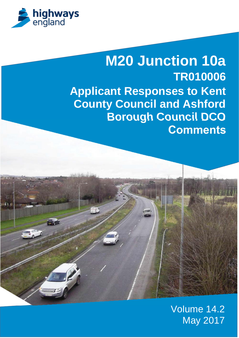

# **M20 Junction 10a TR010006 Applicant Responses to Kent County Council and Ashford Borough Council DCO Comments**



Volume 14.2 May 2017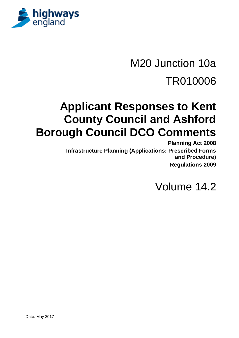

# M20 Junction 10a TR010006

## **Applicant Responses to Kent County Council and Ashford Borough Council DCO Comments**

**Planning Act 2008 Infrastructure Planning (Applications: Prescribed Forms and Procedure) Regulations 2009**

Volume 14.2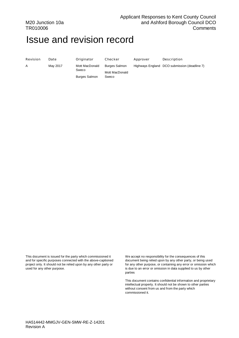#### M20 Junction 10a TR010006

#### Applicant Responses to Kent County Council and Ashford Borough Council DCO **Comments**

### Issue and revision record

Sweco

Burges Salmon

| Revision | D |
|----------|---|
|          |   |

A May 2017 Mott MacDonald

Burges Salmon Mott MacDonald Sweco

ate **Originator** Checker Approver Description

Highways England DCO submission (deadline 7)

This document is issued for the party which commissioned it and for specific purposes connected with the above-captioned project only. It should not be relied upon by any other party or used for any other purpose.

We accept no responsibility for the consequences of this document being relied upon by any other party, or being used for any other purpose, or containing any error or omission which is due to an error or omission in data supplied to us by other parties

This document contains confidential information and proprietary intellectual property. It should not be shown to other parties without consent from us and from the party which commissioned it.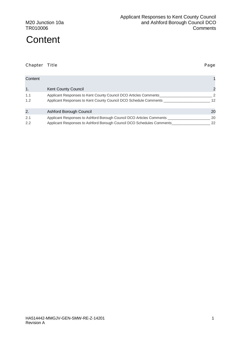#### M20 Junction 10a TR010006

### Content 1999 **Content 1999 Content 1999 Content 1999 Content 1999 Content 1999** 1. Kent County Council 2 1.1 Applicant Responses to Kent County Council DCO Articles Comments \_\_\_\_\_\_\_\_\_\_\_\_\_\_\_\_\_\_\_\_\_\_\_\_\_\_ 2 1.2 Applicant Responses to Kent County Council DCO Schedule Comments \_\_\_\_\_\_\_\_\_\_\_\_\_\_\_\_\_\_\_\_\_\_\_ 12 2. Ashford Borough Council 20 2.1 Applicant Responses to Ashford Borough Council DCO Articles Comments \_\_\_\_\_\_\_\_\_\_\_\_\_\_\_\_\_\_\_\_\_\_\_\_ 20 2.2 Applicant Responses to Ashford Borough Council DCO Schedules Comments \_\_\_\_\_\_\_\_\_\_\_\_\_\_\_\_\_\_\_\_\_\_\_ 22

Chapter Title Page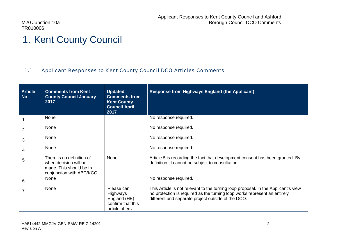### 1. Kent County Council

#### 1.1 Applicant Responses to Kent County Council DCO Articles Comments

| <b>Article</b><br><b>No</b> | <b>Comments from Kent</b><br><b>County Council January</b><br>2017                                         | <b>Updated</b><br><b>Comments from</b><br><b>Kent County</b><br><b>Council April</b><br>2017 | <b>Response from Highways England (the Applicant)</b>                                                                                                                                                                 |
|-----------------------------|------------------------------------------------------------------------------------------------------------|----------------------------------------------------------------------------------------------|-----------------------------------------------------------------------------------------------------------------------------------------------------------------------------------------------------------------------|
|                             | None                                                                                                       |                                                                                              | No response required.                                                                                                                                                                                                 |
| $\overline{2}$              | None                                                                                                       |                                                                                              | No response required.                                                                                                                                                                                                 |
| 3                           | None                                                                                                       |                                                                                              | No response required.                                                                                                                                                                                                 |
| 4                           | None                                                                                                       |                                                                                              | No response required.                                                                                                                                                                                                 |
| 5                           | There is no definition of<br>when decision will be<br>made. This should be in<br>conjunction with ABC/KCC. | None                                                                                         | Article 5 is recording the fact that development consent has been granted. By<br>definition, it cannot be subject to consultation.                                                                                    |
| 6                           | None                                                                                                       |                                                                                              | No response required.                                                                                                                                                                                                 |
|                             | None                                                                                                       | Please can<br>Highways<br>England (HE)<br>confirm that this<br>article offers                | This Article is not relevant to the turning loop proposal. In the Applicant's view<br>no protection is required as the turning loop works represent an entirely<br>different and separate project outside of the DCO. |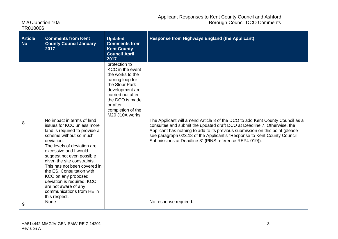| M <sub>20</sub> Junction 10a |  |
|------------------------------|--|
| TR010006                     |  |

| <b>Article</b><br><b>No</b> | <b>Comments from Kent</b><br><b>County Council January</b><br>2017                                                                                                                                                                                                                                                                                                                                                                            | <b>Updated</b><br><b>Comments from</b><br><b>Kent County</b><br><b>Council April</b><br>2017                                                                                                               | <b>Response from Highways England (the Applicant)</b>                                                                                                                                                                                                                                                                                                                            |
|-----------------------------|-----------------------------------------------------------------------------------------------------------------------------------------------------------------------------------------------------------------------------------------------------------------------------------------------------------------------------------------------------------------------------------------------------------------------------------------------|------------------------------------------------------------------------------------------------------------------------------------------------------------------------------------------------------------|----------------------------------------------------------------------------------------------------------------------------------------------------------------------------------------------------------------------------------------------------------------------------------------------------------------------------------------------------------------------------------|
| 8                           | No impact in terms of land<br>issues for KCC unless more<br>land is required to provide a<br>scheme without so much<br>deviation.<br>The levels of deviation are<br>excessive and I would<br>suggest not even possible<br>given the site constraints.<br>This has not been covered in<br>the ES. Consultation with<br>KCC on any proposed<br>deviation is required. KCC<br>are not aware of any<br>communications from HE in<br>this respect. | protection to<br>KCC in the event<br>the works to the<br>turning loop for<br>the Stour Park<br>development are<br>carried out after<br>the DCO is made<br>or after<br>completion of the<br>M20 J10A works. | The Applicant will amend Article 8 of the DCO to add Kent County Council as a<br>consultee and submit the updated draft DCO at Deadline 7. Otherwise, the<br>Applicant has nothing to add to its previous submission on this point (please<br>see paragraph 023.18 of the Applicant's "Response to Kent County Council<br>Submissions at Deadline 3" (PINS reference REP4-019)). |
| 9                           | None                                                                                                                                                                                                                                                                                                                                                                                                                                          |                                                                                                                                                                                                            | No response required.                                                                                                                                                                                                                                                                                                                                                            |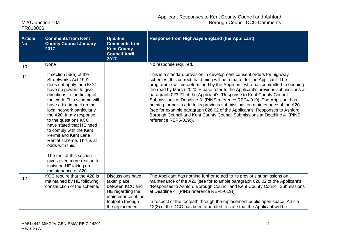| M20 Junction 10a |  |
|------------------|--|
| TR010006         |  |

| <b>Article</b><br><b>No</b> | <b>Comments from Kent</b><br><b>County Council January</b><br>2017                                                                                                                                                                                                                                                                                                                                                                                                                                                             | <b>Updated</b><br><b>Comments from</b><br><b>Kent County</b><br><b>Council April</b><br>2017                                               | <b>Response from Highways England (the Applicant)</b>                                                                                                                                                                                                                                                                                                                                                                                                                                                                                                                                                                                                                                                                                        |
|-----------------------------|--------------------------------------------------------------------------------------------------------------------------------------------------------------------------------------------------------------------------------------------------------------------------------------------------------------------------------------------------------------------------------------------------------------------------------------------------------------------------------------------------------------------------------|--------------------------------------------------------------------------------------------------------------------------------------------|----------------------------------------------------------------------------------------------------------------------------------------------------------------------------------------------------------------------------------------------------------------------------------------------------------------------------------------------------------------------------------------------------------------------------------------------------------------------------------------------------------------------------------------------------------------------------------------------------------------------------------------------------------------------------------------------------------------------------------------------|
| 10 <sup>1</sup>             | None                                                                                                                                                                                                                                                                                                                                                                                                                                                                                                                           |                                                                                                                                            | No response required.                                                                                                                                                                                                                                                                                                                                                                                                                                                                                                                                                                                                                                                                                                                        |
| 11                          | If section 56(a) of the<br>Streetworks Act 1991<br>does not apply then KCC<br>have no powers to give<br>directions to the timing of<br>the work. This scheme will<br>have a big impact on the<br>local network particularly<br>the A20. In my response<br>to the questions KCC<br>have stated that HE need<br>to comply with the Kent<br><b>Permit and Kent Lane</b><br>Rental scheme. This is at<br>odds with this.<br>The rest of this section<br>gives even more reason to<br>insist on HE taking on<br>maintenance of A20. |                                                                                                                                            | This is a standard provision in development consent orders for highway<br>schemes. It is correct that timing will be a matter for the Applicant. The<br>programme will be determined by the Applicant, who has committed to opening<br>the road by March 2020. Please refer to the Applicant's previous submissions at<br>paragraph 023.21 of the Applicant's "Response to Kent County Council<br>Submissions at Deadline 3" (PINS reference REP4-019). The Applicant has<br>nothing further to add to its previous submissions on maintenance of the A20<br>(see for example paragraph 026.02 of the Applicant's "Responses to Ashford<br>Borough Council and Kent County Council Submissions at Deadline 4" (PINS<br>reference REP5-019)). |
| 12                          | KCC require that the A20 is<br>maintained by HE following<br>construction of the scheme.                                                                                                                                                                                                                                                                                                                                                                                                                                       | <b>Discussions have</b><br>taken place<br>between KCC and<br>HE regarding the<br>maintenance of the<br>footpath through<br>the replacement | The Applicant has nothing further to add to its previous submissions on<br>maintenance of the A20 (see for example paragraph 026.02 of the Applicant's<br>"Responses to Ashford Borough Council and Kent County Council Submissions<br>at Deadline 4" (PINS reference REP5-019)).<br>In respect of the footpath through the replacement public open space, Article<br>12(3) of the DCO has been amended to state that the Applicant will be                                                                                                                                                                                                                                                                                                  |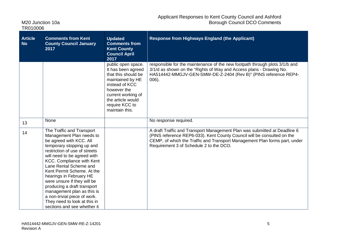| M20 Junction 10a |  |
|------------------|--|
| TR010006         |  |

| <b>Article</b><br><b>No</b> | <b>Comments from Kent</b><br><b>County Council January</b><br>2017                                                                                                                                                                                                                                                                                                                                                                                                                              | <b>Updated</b><br><b>Comments from</b><br><b>Kent County</b><br><b>Council April</b><br>2017                                                                                                        | <b>Response from Highways England (the Applicant)</b>                                                                                                                                                                                                                         |
|-----------------------------|-------------------------------------------------------------------------------------------------------------------------------------------------------------------------------------------------------------------------------------------------------------------------------------------------------------------------------------------------------------------------------------------------------------------------------------------------------------------------------------------------|-----------------------------------------------------------------------------------------------------------------------------------------------------------------------------------------------------|-------------------------------------------------------------------------------------------------------------------------------------------------------------------------------------------------------------------------------------------------------------------------------|
|                             |                                                                                                                                                                                                                                                                                                                                                                                                                                                                                                 | public open space.<br>It has been agreed<br>that this should be<br>maintained by HE<br>instead of KCC<br>however the<br>current working of<br>the article would<br>require KCC to<br>maintain this. | responsible for the maintenance of the new footpath through plots 3/1/b and<br>3/1/d as shown on the "Rights of Way and Access plans - Drawing No.<br>HA514442-MMGJV-GEN-SMW-DE-Z-2404 (Rev B)" (PINS reference REP4-<br>$006$ ).                                             |
| 13                          | None                                                                                                                                                                                                                                                                                                                                                                                                                                                                                            |                                                                                                                                                                                                     | No response required.                                                                                                                                                                                                                                                         |
| 14                          | The Traffic and Transport<br>Management Plan needs to<br>be agreed with KCC. All<br>temporary stopping up and<br>restriction of use of streets<br>will need to be agreed with<br><b>KCC. Compliance with Kent</b><br>Lane Rental Scheme and<br>Kent Permit Scheme. At the<br>hearings in February HE<br>were unsure if they will be<br>producing a draft transport<br>management plan as this is<br>a non-trivial piece of work.<br>They need to look at this in<br>sections and see whether it |                                                                                                                                                                                                     | A draft Traffic and Transport Management Plan was submitted at Deadline 6<br>(PINS reference REP6-033). Kent County Council will be consulted on the<br>CEMP, of which the Traffic and Transport Management Plan forms part, under<br>Requirement 3 of Schedule 2 to the DCO. |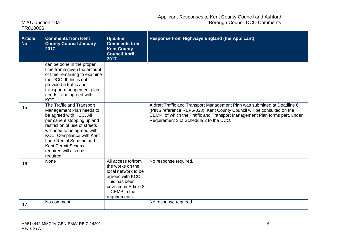| M <sub>20</sub> Junction 10a |  |
|------------------------------|--|
| TR010006                     |  |

| <b>Article</b><br><b>No</b> | <b>Comments from Kent</b><br><b>County Council January</b><br>2017                                                                                                                                                                                                                                      | <b>Updated</b><br><b>Comments from</b><br><b>Kent County</b><br><b>Council April</b><br>2017                                                                   | <b>Response from Highways England (the Applicant)</b>                                                                                                                                                                                                                         |
|-----------------------------|---------------------------------------------------------------------------------------------------------------------------------------------------------------------------------------------------------------------------------------------------------------------------------------------------------|----------------------------------------------------------------------------------------------------------------------------------------------------------------|-------------------------------------------------------------------------------------------------------------------------------------------------------------------------------------------------------------------------------------------------------------------------------|
|                             | can be done in the proper<br>time frame given the amount<br>of time remaining to examine<br>the DCO. If this is not<br>provided a traffic and<br>transport management plan<br>needs to be agreed with<br>KCC.                                                                                           |                                                                                                                                                                |                                                                                                                                                                                                                                                                               |
| 15                          | The Traffic and Transport<br>Management Plan needs to<br>be agreed with KCC. All<br>permanent stopping up and<br>restriction of use of streets<br>will need to be agreed with<br>KCC. Compliance with Kent<br>Lane Rental Scheme and<br><b>Kent Permit Scheme</b><br>required will also be<br>required. |                                                                                                                                                                | A draft Traffic and Transport Management Plan was submitted at Deadline 6<br>(PINS reference REP6-033). Kent County Council will be consulted on the<br>CEMP, of which the Traffic and Transport Management Plan forms part, under<br>Requirement 3 of Schedule 2 to the DCO. |
| 16                          | None                                                                                                                                                                                                                                                                                                    | All access to/from<br>the works on the<br>local network to be<br>agreed with KCC.<br>This has been<br>covered in Article 3<br>$-$ CEMP in the<br>requirements. | No response required.                                                                                                                                                                                                                                                         |
| 17                          | No comment                                                                                                                                                                                                                                                                                              |                                                                                                                                                                | No response required.                                                                                                                                                                                                                                                         |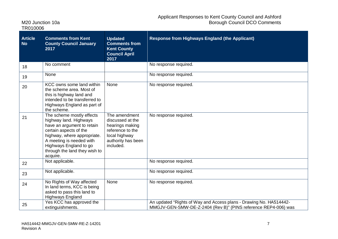| M20 Junction 10a |  |
|------------------|--|
| TR010006         |  |

| <b>Article</b><br><b>No</b> | <b>Comments from Kent</b><br><b>County Council January</b><br>2017                                                                                                                                                                            | <b>Updated</b><br><b>Comments from</b><br><b>Kent County</b><br><b>Council April</b><br>2017                                 | <b>Response from Highways England (the Applicant)</b>                                                                                |
|-----------------------------|-----------------------------------------------------------------------------------------------------------------------------------------------------------------------------------------------------------------------------------------------|------------------------------------------------------------------------------------------------------------------------------|--------------------------------------------------------------------------------------------------------------------------------------|
| 18                          | No comment                                                                                                                                                                                                                                    |                                                                                                                              | No response required.                                                                                                                |
| 19                          | None                                                                                                                                                                                                                                          |                                                                                                                              | No response required.                                                                                                                |
| 20                          | KCC owns some land within<br>the scheme area. Most of<br>this is highway land and<br>intended to be transferred to<br>Highways England as part of<br>the scheme.                                                                              | None                                                                                                                         | No response required.                                                                                                                |
| 21                          | The scheme mostly effects<br>highway land. Highways<br>have an argument to retain<br>certain aspects of the<br>highway, where appropriate.<br>A meeting is needed with<br>Highways England to go<br>through the land they wish to<br>acquire. | The amendment<br>discussed at the<br>hearings making<br>reference to the<br>local highway<br>authority has been<br>included. | No response required.                                                                                                                |
| 22                          | Not applicable.                                                                                                                                                                                                                               |                                                                                                                              | No response required.                                                                                                                |
| 23                          | Not applicable.                                                                                                                                                                                                                               |                                                                                                                              | No response required.                                                                                                                |
| 24                          | No Rights of Way affected<br>In land terms, KCC is being<br>asked to pass this land to<br><b>Highways England</b>                                                                                                                             | None                                                                                                                         | No response required.                                                                                                                |
| 25                          | Yes KCC has approved the<br>extinguishments.                                                                                                                                                                                                  |                                                                                                                              | An updated "Rights of Way and Access plans - Drawing No. HA514442-<br>MMGJV-GEN-SMW-DE-Z-2404 (Rev B)" (PINS reference REP4-006) was |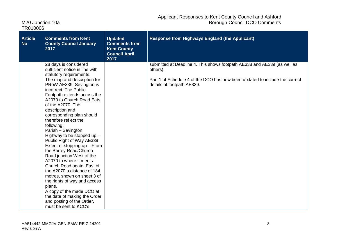| M20 Junction 10a |  |
|------------------|--|
| TR010006         |  |

| <b>Article</b><br><b>No</b> | <b>Comments from Kent</b><br><b>County Council January</b><br>2017                                                                                                                                                                                                                                                                                                                                                                                                                                                                                                                                                                                                                                                                                                                                           | <b>Updated</b><br><b>Comments from</b><br><b>Kent County</b><br><b>Council April</b><br>2017 | <b>Response from Highways England (the Applicant)</b>                                                                                                                                             |
|-----------------------------|--------------------------------------------------------------------------------------------------------------------------------------------------------------------------------------------------------------------------------------------------------------------------------------------------------------------------------------------------------------------------------------------------------------------------------------------------------------------------------------------------------------------------------------------------------------------------------------------------------------------------------------------------------------------------------------------------------------------------------------------------------------------------------------------------------------|----------------------------------------------------------------------------------------------|---------------------------------------------------------------------------------------------------------------------------------------------------------------------------------------------------|
|                             | 28 days is considered<br>sufficient notice in line with<br>statutory requirements.<br>The map and description for<br>PRoW AE339, Sevington is<br>incorrect. The Public<br>Footpath extends across the<br>A2070 to Church Road Eats<br>of the A2070. The<br>description and<br>corresponding plan should<br>therefore reflect the<br>following;<br>Parish - Sevington<br>Highway to be stopped up $-$<br>Public Right of Way AE339<br>Extent of stopping up - From<br>the Barrey Road/Church<br>Road junction West of the<br>A2070 to where it meets<br>Church Road again, East of<br>the A2070 a distance of 184<br>metres, shown on sheet 3 of<br>the rights of way and access<br>plans.<br>A copy of the made DCO at<br>the date of making the Order<br>and posting of the Order,<br>must be sent to KCC's |                                                                                              | submitted at Deadline 4. This shows footpath AE338 and AE339 (as well as<br>others).<br>Part 1 of Schedule 4 of the DCO has now been updated to include the correct<br>details of footpath AE339. |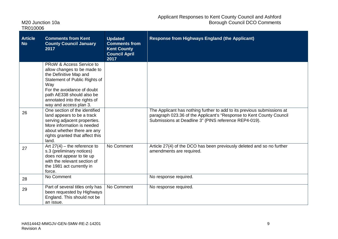| M20 Junction 10a |  |
|------------------|--|
| TR010006         |  |

| <b>Article</b><br><b>No</b> | <b>Comments from Kent</b><br><b>County Council January</b><br>2017                                                                                                                                                                             | <b>Updated</b><br><b>Comments from</b><br><b>Kent County</b><br><b>Council April</b><br>2017 | <b>Response from Highways England (the Applicant)</b>                                                                                                                                                    |
|-----------------------------|------------------------------------------------------------------------------------------------------------------------------------------------------------------------------------------------------------------------------------------------|----------------------------------------------------------------------------------------------|----------------------------------------------------------------------------------------------------------------------------------------------------------------------------------------------------------|
|                             | PRoW & Access Service to<br>allow changes to be made to<br>the Definitive Map and<br>Statement of Public Rights of<br>Way<br>For the avoidance of doubt<br>path AE338 should also be<br>annotated into the rights of<br>way and access plan 3. |                                                                                              |                                                                                                                                                                                                          |
| 26                          | One section of the identified<br>land appears to be a track<br>serving adjacent properties.<br>More information is needed<br>about whether there are any<br>rights granted that affect this<br>land.                                           |                                                                                              | The Applicant has nothing further to add to its previous submissions at<br>paragraph 023.36 of the Applicant's "Response to Kent County Council<br>Submissions at Deadline 3" (PINS reference REP4-019). |
| 27                          | Art $27(4)$ – the reference to<br>s.3 (preliminary notices)<br>does not appear to tie up<br>with the relevant section of<br>the 1981 act currently in<br>force.                                                                                | No Comment                                                                                   | Article 27(4) of the DCO has been previously deleted and so no further<br>amendments are required.                                                                                                       |
| 28                          | No Comment                                                                                                                                                                                                                                     |                                                                                              | No response required.                                                                                                                                                                                    |
| 29                          | Part of several titles only has<br>been requested by Highways<br>England. This should not be<br>an issue.                                                                                                                                      | No Comment                                                                                   | No response required.                                                                                                                                                                                    |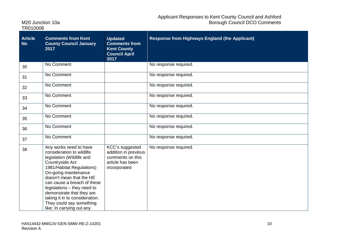| <b>Article</b><br><b>No</b> | <b>Comments from Kent</b><br><b>County Council January</b><br>2017                                                                                                                                                                                                                                                                                                         | <b>Updated</b><br><b>Comments from</b><br><b>Kent County</b><br><b>Council April</b><br>2017    | <b>Response from Highways England (the Applicant)</b> |
|-----------------------------|----------------------------------------------------------------------------------------------------------------------------------------------------------------------------------------------------------------------------------------------------------------------------------------------------------------------------------------------------------------------------|-------------------------------------------------------------------------------------------------|-------------------------------------------------------|
| 30                          | No Comment                                                                                                                                                                                                                                                                                                                                                                 |                                                                                                 | No response required.                                 |
| 31                          | No Comment                                                                                                                                                                                                                                                                                                                                                                 |                                                                                                 | No response required.                                 |
| 32                          | No Comment                                                                                                                                                                                                                                                                                                                                                                 |                                                                                                 | No response required.                                 |
| 33                          | No Comment                                                                                                                                                                                                                                                                                                                                                                 |                                                                                                 | No response required.                                 |
| 34                          | No Comment                                                                                                                                                                                                                                                                                                                                                                 |                                                                                                 | No response required.                                 |
| 35                          | No Comment                                                                                                                                                                                                                                                                                                                                                                 |                                                                                                 | No response required.                                 |
| 36                          | No Comment                                                                                                                                                                                                                                                                                                                                                                 |                                                                                                 | No response required.                                 |
| 37                          | No Comment                                                                                                                                                                                                                                                                                                                                                                 |                                                                                                 | No response required.                                 |
| 38                          | Any works need to have<br>consideration to wildlife<br>legislation (Wildlife and<br>Countryside Act<br>1981/Habitat Regulations)<br>On-going maintenance<br>doesn't mean that the HE<br>can cause a breach of these<br>legislations - they need to<br>demonstrate that they are<br>taking it in to consideration.<br>They could say something<br>like: In carrying out any | KCC's suggested<br>addition in previous<br>comments on this<br>article has been<br>incorporated | No response required.                                 |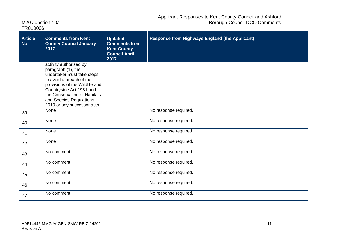| M20 Junction 10a |  |
|------------------|--|
| TR010006         |  |

| <b>Article</b><br><b>No</b> | <b>Comments from Kent</b><br><b>County Council January</b><br>2017                                                                                                                                                                                            | <b>Updated</b><br><b>Comments from</b><br><b>Kent County</b><br><b>Council April</b><br>2017 | <b>Response from Highways England (the Applicant)</b> |
|-----------------------------|---------------------------------------------------------------------------------------------------------------------------------------------------------------------------------------------------------------------------------------------------------------|----------------------------------------------------------------------------------------------|-------------------------------------------------------|
|                             | activity authorised by<br>paragraph (1), the<br>undertaker must take steps<br>to avoid a breach of the<br>provisions of the Wildlife and<br>Countryside Act 1981 and<br>the Conservation of Habitats<br>and Species Regulations<br>2010 or any successor acts |                                                                                              |                                                       |
| 39                          | None                                                                                                                                                                                                                                                          |                                                                                              | No response required.                                 |
| 40                          | None                                                                                                                                                                                                                                                          |                                                                                              | No response required.                                 |
| 41                          | None                                                                                                                                                                                                                                                          |                                                                                              | No response required.                                 |
| 42                          | None                                                                                                                                                                                                                                                          |                                                                                              | No response required.                                 |
| 43                          | No comment                                                                                                                                                                                                                                                    |                                                                                              | No response required.                                 |
| 44                          | No comment                                                                                                                                                                                                                                                    |                                                                                              | No response required.                                 |
| 45                          | No comment                                                                                                                                                                                                                                                    |                                                                                              | No response required.                                 |
| 46                          | No comment                                                                                                                                                                                                                                                    |                                                                                              | No response required.                                 |
| 47                          | No comment                                                                                                                                                                                                                                                    |                                                                                              | No response required.                                 |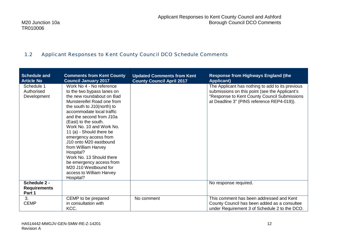### 1.2 Applicant Responses to Kent County Council DCO Schedule Comments

| <b>Schedule and</b><br><b>Article No</b>      | <b>Comments from Kent County</b><br><b>Council January 2017</b>                                                                                                                                                                                                                                                                                                                                                                                                                                           | <b>Updated Comments from Kent</b><br><b>County Council April 2017</b> | <b>Response from Highways England (the</b><br><b>Applicant)</b>                                                                                                                                  |
|-----------------------------------------------|-----------------------------------------------------------------------------------------------------------------------------------------------------------------------------------------------------------------------------------------------------------------------------------------------------------------------------------------------------------------------------------------------------------------------------------------------------------------------------------------------------------|-----------------------------------------------------------------------|--------------------------------------------------------------------------------------------------------------------------------------------------------------------------------------------------|
| Schedule 1<br>Authorised<br>Development       | Work No 4 - No reference<br>to the two bypass lanes on<br>the new roundabout on Bad<br>Munstereifel Road one from<br>the south to J10(north) to<br>accommodate local traffic<br>and the second from J10a<br>(East) to the south.<br>Work No. 10 and Work No.<br>11 (a) - Should there be<br>emergency access from<br>J10 onto M20 eastbound<br>from William Harvey<br>Hospital?<br>Work No. 13 Should there<br>be emergency access from<br>M20 J10 Westbound for<br>access to William Harvey<br>Hospital? |                                                                       | The Applicant has nothing to add to its previous<br>submissions on this point (see the Applicant's<br>"Response to Kent County Council Submissions<br>at Deadline 3" (PINS reference REP4-019)). |
| Schedule 2 -<br><b>Requirements</b><br>Part 1 |                                                                                                                                                                                                                                                                                                                                                                                                                                                                                                           |                                                                       | No response required.                                                                                                                                                                            |
| 3.<br><b>CEMP</b>                             | CEMP to be prepared<br>in consultation with<br>KCC.                                                                                                                                                                                                                                                                                                                                                                                                                                                       | No comment                                                            | This comment has been addressed and Kent<br>County Council has been added as a consultee<br>under Requirement 3 of Schedule 2 to the DCO.                                                        |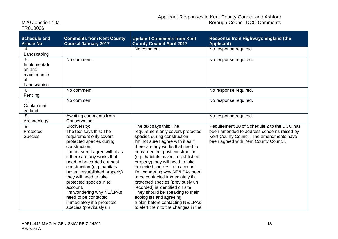| M20 Junction 10a |  |
|------------------|--|
| TR010006         |  |

| <b>Schedule and</b><br><b>Article No</b> | <b>Comments from Kent County</b><br><b>Council January 2017</b> | <b>Updated Comments from Kent</b><br><b>County Council April 2017</b>  | <b>Response from Highways England (the</b><br><b>Applicant)</b> |
|------------------------------------------|-----------------------------------------------------------------|------------------------------------------------------------------------|-----------------------------------------------------------------|
| 4.                                       |                                                                 | No comment                                                             | No response required.                                           |
| Landscaping                              |                                                                 |                                                                        |                                                                 |
| 5.                                       | No comment.                                                     |                                                                        | No response required.                                           |
| Implementati                             |                                                                 |                                                                        |                                                                 |
| on and                                   |                                                                 |                                                                        |                                                                 |
| maintenance<br>of                        |                                                                 |                                                                        |                                                                 |
| Landscaping                              |                                                                 |                                                                        |                                                                 |
| 6.                                       | No comment.                                                     |                                                                        | No response required.                                           |
| Fencing                                  |                                                                 |                                                                        |                                                                 |
| 7 <sub>1</sub>                           | No comment                                                      |                                                                        | No response required.                                           |
| Contaminat                               |                                                                 |                                                                        |                                                                 |
| ed land                                  |                                                                 |                                                                        |                                                                 |
| 8.                                       | Awaiting comments from                                          |                                                                        | No response required.                                           |
| Archaeology                              | Conservation.                                                   |                                                                        |                                                                 |
| 9.                                       | Biodiversity:                                                   | The text says this: The                                                | Requirement 10 of Schedule 2 to the DCO has                     |
| Protected                                | The text says this: The                                         | requirement only covers protected                                      | been amended to address concerns raised by                      |
| <b>Species</b>                           | requirement only covers                                         | species during construction.                                           | Kent County Council. The amendments have                        |
|                                          | protected species during                                        | I'm not sure I agree with it as if                                     | been agreed with Kent County Council.                           |
|                                          | construction.                                                   | there are any works that need to                                       |                                                                 |
|                                          | I'm not sure I agree with it as                                 | be carried out post construction                                       |                                                                 |
|                                          | if there are any works that<br>need to be carried out post      | (e.g. habitats haven't established<br>properly) they will need to take |                                                                 |
|                                          | construction (e.g. habitats                                     | protected species in to account.                                       |                                                                 |
|                                          | haven't established properly)                                   | I'm wondering why NE/LPAs need                                         |                                                                 |
|                                          | they will need to take                                          | to be contacted immediately if a                                       |                                                                 |
|                                          | protected species in to                                         | protected species (previously un                                       |                                                                 |
|                                          | account.                                                        | recorded) is identified on site.                                       |                                                                 |
|                                          | I'm wondering why NE/LPAs                                       | They should be speaking to their                                       |                                                                 |
|                                          | need to be contacted                                            | ecologists and agreeing                                                |                                                                 |
|                                          | immediately if a protected                                      | a plan before contacting NE/LPAs                                       |                                                                 |
|                                          | species (previously un                                          | to alert them to the changes in the                                    |                                                                 |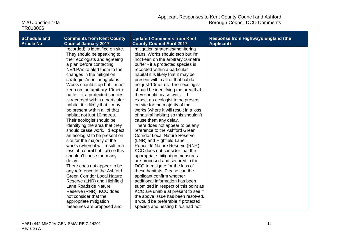| <b>Schedule and</b><br><b>Article No</b> | <b>Comments from Kent County</b><br><b>Council January 2017</b> | <b>Updated Comments from Kent</b><br><b>County Council April 2017</b> | <b>Response from Highways England (the</b><br><b>Applicant)</b> |
|------------------------------------------|-----------------------------------------------------------------|-----------------------------------------------------------------------|-----------------------------------------------------------------|
|                                          | recorded) is identified on site.                                | mitigation strategies/monitoring                                      |                                                                 |
|                                          | They should be speaking to                                      | plans. Works should stop but I'm                                      |                                                                 |
|                                          | their ecologists and agreeing                                   | not keen on the arbitrary 10metre                                     |                                                                 |
|                                          | a plan before contacting                                        | buffer - if a protected species is                                    |                                                                 |
|                                          | NE/LPAs to alert them to the                                    | recorded within a particular                                          |                                                                 |
|                                          | changes in the mitigation                                       | habitat it is likely that it may be                                   |                                                                 |
|                                          | strategies/monitoring plans.                                    | present within all of that habitat                                    |                                                                 |
|                                          | Works should stop but I'm not                                   | not just 10 metres. Their ecologist                                   |                                                                 |
|                                          | keen on the arbitrary 10metre                                   | should be identifying the area that                                   |                                                                 |
|                                          | buffer - if a protected species                                 | they should cease work. I'd                                           |                                                                 |
|                                          | is recorded within a particular                                 | expect an ecologist to be present                                     |                                                                 |
|                                          | habitat it is likely that it may                                | on site for the majority of the                                       |                                                                 |
|                                          | be present within all of that                                   | works (where it will result in a loss                                 |                                                                 |
|                                          | habitat not just 10 metres.                                     | of natural habitat) so this shouldn't                                 |                                                                 |
|                                          | Their ecologist should be                                       | cause them any delay.                                                 |                                                                 |
|                                          | identifying the area that they                                  | There does not appear to be any                                       |                                                                 |
|                                          | should cease work. I'd expect                                   | reference to the Ashford Green                                        |                                                                 |
|                                          | an ecologist to be present on                                   | <b>Corridor Local Nature Reserve</b>                                  |                                                                 |
|                                          | site for the majority of the                                    | (LNR) and Highfield Lane                                              |                                                                 |
|                                          | works (where it will result in a                                | Roadside Nature Reserve (RNR).                                        |                                                                 |
|                                          | loss of natural habitat) so this                                | KCC does not consider that the                                        |                                                                 |
|                                          | shouldn't cause them any                                        | appropriate mitigation measures                                       |                                                                 |
|                                          | delay.                                                          | are proposed and secured in the                                       |                                                                 |
|                                          | There does not appear to be                                     | DCO to mitigate for the loss of                                       |                                                                 |
|                                          | any reference to the Ashford                                    | these habitats. Please can the                                        |                                                                 |
|                                          | <b>Green Corridor Local Nature</b>                              | applicant confirm whether                                             |                                                                 |
|                                          | Reserve (LNR) and Highfield                                     | additional information has been                                       |                                                                 |
|                                          | Lane Roadside Nature                                            | submitted in respect of this point as                                 |                                                                 |
|                                          | Reserve (RNR). KCC does                                         | KCC are unable at present to see if                                   |                                                                 |
|                                          | not consider that the                                           | the above issue has been resolved.                                    |                                                                 |
|                                          | appropriate mitigation                                          | It would be preferable if protected                                   |                                                                 |
|                                          | measures are proposed and                                       | species and nesting birds had not                                     |                                                                 |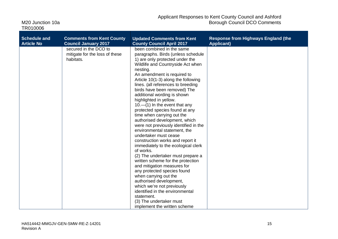| M20 Junction 10a |  |
|------------------|--|
| TR010006         |  |

| <b>Schedule and</b> | <b>Comments from Kent County</b>                                     | <b>Updated Comments from Kent</b>                                                                                                                                                                                                                                                                                                                                                                                                                                                                                                                                                                                                                                                                                                                                                                                                                                                                                                                                                                                             | <b>Response from Highways England (the</b> |
|---------------------|----------------------------------------------------------------------|-------------------------------------------------------------------------------------------------------------------------------------------------------------------------------------------------------------------------------------------------------------------------------------------------------------------------------------------------------------------------------------------------------------------------------------------------------------------------------------------------------------------------------------------------------------------------------------------------------------------------------------------------------------------------------------------------------------------------------------------------------------------------------------------------------------------------------------------------------------------------------------------------------------------------------------------------------------------------------------------------------------------------------|--------------------------------------------|
| <b>Article No</b>   | <b>Council January 2017</b>                                          | <b>County Council April 2017</b>                                                                                                                                                                                                                                                                                                                                                                                                                                                                                                                                                                                                                                                                                                                                                                                                                                                                                                                                                                                              | <b>Applicant)</b>                          |
|                     | secured in the DCO to<br>mitigate for the loss of these<br>habitats. | been combined in the same<br>paragraphs. Birds (unless schedule<br>1) are only protected under the<br>Wildlife and Countryside Act when<br>nesting.<br>An amendment is required to<br>Article 10(1-3) along the following<br>lines. (all references to breeding<br>birds have been removed) The<br>additional wording is shown<br>highlighted in yellow.<br>$10.$ -(1) In the event that any<br>protected species found at any<br>time when carrying out the<br>authorised development, which<br>were not previously identified in the<br>environmental statement, the<br>undertaker must cease<br>construction works and report it<br>immediately to the ecological clerk<br>of works.<br>(2) The undertaker must prepare a<br>written scheme for the protection<br>and mitigation measures for<br>any protected species found<br>when carrying out the<br>authorised development,<br>which we're not previously<br>identified in the environmental<br>statement.<br>(3) The undertaker must<br>implement the written scheme |                                            |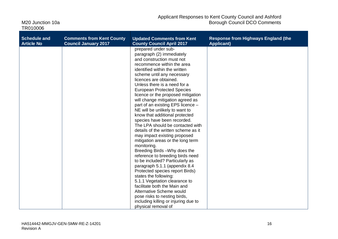| M <sub>20</sub> Junction 10a |  |
|------------------------------|--|
| TR010006                     |  |

| <b>Schedule and</b> | <b>Comments from Kent County</b> | <b>Updated Comments from Kent</b>                                                                                                                                                                                                                                                                                                                                                                                                                                                                                                                                                                                                                                                                                                                                                                                                                                                                                                                                                                                                                           | <b>Response from Highways England (the</b> |
|---------------------|----------------------------------|-------------------------------------------------------------------------------------------------------------------------------------------------------------------------------------------------------------------------------------------------------------------------------------------------------------------------------------------------------------------------------------------------------------------------------------------------------------------------------------------------------------------------------------------------------------------------------------------------------------------------------------------------------------------------------------------------------------------------------------------------------------------------------------------------------------------------------------------------------------------------------------------------------------------------------------------------------------------------------------------------------------------------------------------------------------|--------------------------------------------|
| <b>Article No</b>   | <b>Council January 2017</b>      | <b>County Council April 2017</b>                                                                                                                                                                                                                                                                                                                                                                                                                                                                                                                                                                                                                                                                                                                                                                                                                                                                                                                                                                                                                            | <b>Applicant)</b>                          |
|                     |                                  | prepared under sub-<br>paragraph (2) immediately<br>and construction must not<br>recommence within the area<br>identified within the written<br>scheme until any necessary<br>licences are obtained.<br>Unless there is a need for a<br><b>European Protected Species</b><br>licence or the proposed mitigation<br>will change mitigation agreed as<br>part of an existing EPS licence -<br>NE will be unlikely to want to<br>know that additional protected<br>species have been recorded.<br>The LPA should be contacted with<br>details of the written scheme as it<br>may impact existing proposed<br>mitigation areas or the long term<br>monitoring.<br>Breeding Birds - Why does the<br>reference to breeding birds need<br>to be included? Particularly as<br>paragraph 5.1.1 (appendix 8.4<br>Protected species report Birds)<br>states the following:<br>5.1.1 Vegetation clearance to<br>facilitate both the Main and<br>Alternative Scheme would<br>pose risks to nesting birds,<br>including killing or injuring due to<br>physical removal of |                                            |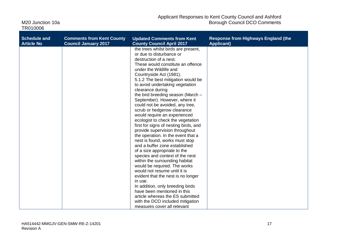| <b>Schedule and</b> | <b>Comments from Kent County</b> | <b>Updated Comments from Kent</b>                                                                                                                                                                                                                                                                                                                                                                                                                                                                                                                                                                                                                                                                                                                                                                                                                                                                                                                                                                                                                                                 | <b>Response from Highways England (the</b> |
|---------------------|----------------------------------|-----------------------------------------------------------------------------------------------------------------------------------------------------------------------------------------------------------------------------------------------------------------------------------------------------------------------------------------------------------------------------------------------------------------------------------------------------------------------------------------------------------------------------------------------------------------------------------------------------------------------------------------------------------------------------------------------------------------------------------------------------------------------------------------------------------------------------------------------------------------------------------------------------------------------------------------------------------------------------------------------------------------------------------------------------------------------------------|--------------------------------------------|
| <b>Article No</b>   | <b>Council January 2017</b>      | <b>County Council April 2017</b>                                                                                                                                                                                                                                                                                                                                                                                                                                                                                                                                                                                                                                                                                                                                                                                                                                                                                                                                                                                                                                                  | <b>Applicant)</b>                          |
|                     |                                  | the trees whilst birds are present,<br>or due to disturbance or<br>destruction of a nest.<br>These would constitute an offence<br>under the Wildlife and<br>Countryside Act (1981).<br>5.1.2 The best mitigation would be<br>to avoid undertaking vegetation<br>clearance during<br>the bird breeding season (March -<br>September). However, where it<br>could not be avoided, any tree,<br>scrub or hedgerow clearance<br>would require an experienced<br>ecologist to check the vegetation<br>first for signs of nesting birds, and<br>provide supervision throughout<br>the operation. In the event that a<br>nest is found, works must stop<br>and a buffer zone established<br>of a size appropriate to the<br>species and context of the nest<br>within the surrounding habitat<br>would be required. The works<br>would not resume until it is<br>evident that the nest is no longer<br>in use.<br>In addition, only breeding birds<br>have been mentioned in this<br>article whereas the ES submitted<br>with the DCO included mitigation<br>measures cover all relevant |                                            |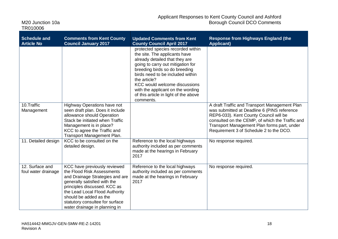| <b>Schedule and</b><br><b>Article No</b> | <b>Comments from Kent County</b><br><b>Council January 2017</b>                                                                                                                                                                                                                               | <b>Updated Comments from Kent</b><br><b>County Council April 2017</b>                                                                                                                                                                                                                                                                                      | <b>Response from Highways England (the</b><br><b>Applicant)</b>                              |
|------------------------------------------|-----------------------------------------------------------------------------------------------------------------------------------------------------------------------------------------------------------------------------------------------------------------------------------------------|------------------------------------------------------------------------------------------------------------------------------------------------------------------------------------------------------------------------------------------------------------------------------------------------------------------------------------------------------------|----------------------------------------------------------------------------------------------|
|                                          |                                                                                                                                                                                                                                                                                               | protected species recorded within<br>the site. The applicants have<br>already detailed that they are<br>going to carry out mitigation for<br>breeding birds so do breeding<br>birds need to be included within<br>the article?<br>KCC would welcome discussions<br>with the applicant on the wording<br>of this article in light of the above<br>comments. |                                                                                              |
| 10.Traffic<br>Management                 | Highway Operations have not<br>seen draft plan. Does it include                                                                                                                                                                                                                               |                                                                                                                                                                                                                                                                                                                                                            | A draft Traffic and Transport Management Plan<br>was submitted at Deadline 6 (PINS reference |
|                                          | allowance should Operation<br>Stack be initiated when Traffic                                                                                                                                                                                                                                 |                                                                                                                                                                                                                                                                                                                                                            | REP6-033). Kent County Council will be<br>consulted on the CEMP, of which the Traffic and    |
|                                          | Management is in place?<br>KCC to agree the Traffic and                                                                                                                                                                                                                                       |                                                                                                                                                                                                                                                                                                                                                            | Transport Management Plan forms part, under<br>Requirement 3 of Schedule 2 to the DCO.       |
|                                          | Transport Management Plan.                                                                                                                                                                                                                                                                    |                                                                                                                                                                                                                                                                                                                                                            |                                                                                              |
| 11. Detailed design                      | KCC to be consulted on the<br>detailed design.                                                                                                                                                                                                                                                | Reference to the local highways<br>authority included as per comments<br>made at the hearings in February<br>2017                                                                                                                                                                                                                                          | No response required.                                                                        |
| 12. Surface and<br>foul water drainage   | KCC have previously reviewed<br>the Flood Risk Assessments<br>and Drainage Strategies and are<br>generally satisfied with the<br>principles discussed. KCC as<br>the Lead Local Flood Authority<br>should be added as the<br>statutory consultee for surface<br>water drainage in planning in | Reference to the local highways<br>authority included as per comments<br>made at the hearings in February<br>2017                                                                                                                                                                                                                                          | No response required.                                                                        |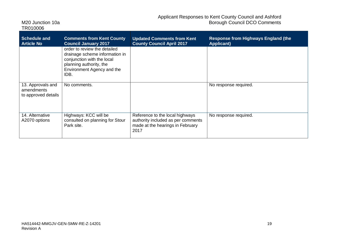| <b>Schedule and</b><br><b>Article No</b>               | <b>Comments from Kent County</b><br><b>Council January 2017</b>                                                                                               | <b>Updated Comments from Kent</b><br><b>County Council April 2017</b>                                             | <b>Response from Highways England (the</b><br><b>Applicant)</b> |
|--------------------------------------------------------|---------------------------------------------------------------------------------------------------------------------------------------------------------------|-------------------------------------------------------------------------------------------------------------------|-----------------------------------------------------------------|
|                                                        | order to review the detailed<br>drainage scheme information in<br>conjunction with the local<br>planning authority, the<br>Environment Agency and the<br>IDB. |                                                                                                                   |                                                                 |
| 13. Approvals and<br>amendments<br>to approved details | No comments.                                                                                                                                                  |                                                                                                                   | No response required.                                           |
| 14. Alternative<br>A2070 options                       | Highways: KCC will be<br>consulted on planning for Stour<br>Park site.                                                                                        | Reference to the local highways<br>authority included as per comments<br>made at the hearings in February<br>2017 | No response required.                                           |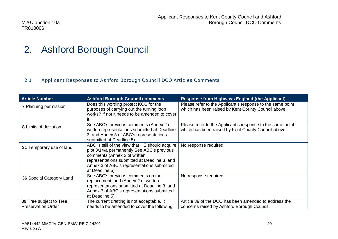### 2. Ashford Borough Council

#### 2.1 Applicant Responses to Ashford Borough Council DCO Articles Comments

| <b>Article Number</b>                                | <b>Ashford Borough Council comments</b>                                                                                                                                                                                                        | <b>Response from Highways England (the Applicant)</b>                                                             |
|------------------------------------------------------|------------------------------------------------------------------------------------------------------------------------------------------------------------------------------------------------------------------------------------------------|-------------------------------------------------------------------------------------------------------------------|
| <b>7 Planning permission</b>                         | Does this wording protect KCC for the<br>purposes of carrying out the turning loop<br>works? If not it needs to be amended to cover<br>it.                                                                                                     | Please refer to the Applicant's response to the same point<br>which has been raised by Kent County Council above. |
| 8 Limits of deviation                                | See ABC's previous comments (Annex 2 of<br>written representations submitted at Deadline<br>3, and Annex 3 of ABC's representations<br>submitted at Deadline 5).                                                                               | Please refer to the Applicant's response to the same point<br>which has been raised by Kent County Council above. |
| 31 Temporary use of land                             | ABC is still of the view that HE should acquire<br>plot 3/14/a permanently See ABC's previous<br>comments (Annex 2 of written<br>representations submitted at Deadline 3, and<br>Annex 3 of ABC's representations submitted<br>at Deadline 5). | No response required.                                                                                             |
| 36 Special Category Land                             | See ABC's previous comments on the<br>replacement land (Annex 2 of written<br>representations submitted at Deadline 3, and<br>Annex 3 of ABC's representations submitted<br>at Deadline 5).                                                    | No response required.                                                                                             |
| 39 Tree subject to Tree<br><b>Preservation Order</b> | The current drafting is not acceptable. It<br>needs to be amended to cover the following:                                                                                                                                                      | Article 39 of the DCO has been amended to address the<br>concerns raised by Ashford Borough Council.              |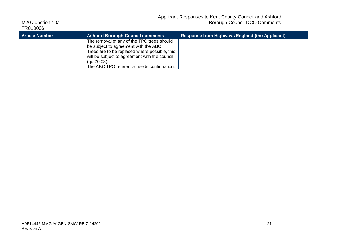| TR010006              |                                                                                                                                                                                                                                                    |                                                       |
|-----------------------|----------------------------------------------------------------------------------------------------------------------------------------------------------------------------------------------------------------------------------------------------|-------------------------------------------------------|
| <b>Article Number</b> | <b>Ashford Borough Council comments</b>                                                                                                                                                                                                            | <b>Response from Highways England (the Applicant)</b> |
|                       | The removal of any of the TPO trees should<br>be subject to agreement with the ABC.<br>Trees are to be replaced where possible, this<br>will be subject to agreement with the council.<br>(gu 20.08).<br>The ABC TPO reference needs confirmation. |                                                       |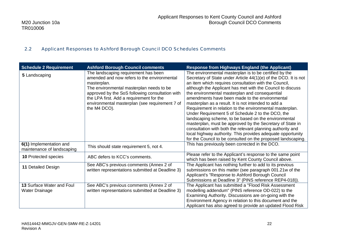#### 2.2 Applicant Responses to Ashford Borough Council DCO Schedules Comments

| <b>Schedule 2 Requirement</b>                             | <b>Ashford Borough Council comments</b>                                                                                                                                                                                                                                                                         | <b>Response from Highways England (the Applicant)</b>                                                                                                                                                                                                                                                                                                                                                                                                                                                                                                                                                                                                                                                                                                                                                                                          |
|-----------------------------------------------------------|-----------------------------------------------------------------------------------------------------------------------------------------------------------------------------------------------------------------------------------------------------------------------------------------------------------------|------------------------------------------------------------------------------------------------------------------------------------------------------------------------------------------------------------------------------------------------------------------------------------------------------------------------------------------------------------------------------------------------------------------------------------------------------------------------------------------------------------------------------------------------------------------------------------------------------------------------------------------------------------------------------------------------------------------------------------------------------------------------------------------------------------------------------------------------|
| 5 Landscaping                                             | The landscaping requirement has been<br>amended and now refers to the environmental<br>masterplan.<br>The environmental masterplan needs to be<br>approved by the SoS following consultation with<br>the LPA first. Add a requirement for the<br>environmental masterplan (see requirement 7 of<br>the M4 DCO). | The environmental masterplan is to be certified by the<br>Secretary of State under Article 44(1)(e) of the DCO. It is not<br>an item which requires consultation with the Council,<br>although the Applicant has met with the Council to discuss<br>the environmental masterplan and consequential<br>amendments have been made to the environmental<br>masterplan as a result. It is not intended to add a<br>Requirement in relation to the environmental masterplan.<br>Under Requirement 5 of Schedule 2 to the DCO, the<br>landscaping scheme, to be based on the environmental<br>masterplan, must be approved by the Secretary of State in<br>consultation with both the relevant planning authority and<br>local highway authority. This provides adequate opportunity<br>for the Council to be consulted on the proposed landscaping. |
| 6(1) Implementation and<br>maintenance of landscaping     | This should state requirement 5, not 4.                                                                                                                                                                                                                                                                         | This has previously been corrected in the DCO.                                                                                                                                                                                                                                                                                                                                                                                                                                                                                                                                                                                                                                                                                                                                                                                                 |
| <b>10 Protected species</b>                               | ABC defers to KCC's comments.                                                                                                                                                                                                                                                                                   | Please refer to the Applicant's response to the same point<br>which has been raised by Kent County Council above.                                                                                                                                                                                                                                                                                                                                                                                                                                                                                                                                                                                                                                                                                                                              |
| 11 Detailed Design                                        | See ABC's previous comments (Annex 2 of<br>written representations submitted at Deadline 3)                                                                                                                                                                                                                     | The Applicant has nothing further to add to its previous<br>submissions on this matter (see paragraph 001.21w of the<br>Applicant's "Response to Ashford Borough Council<br>Submissions at Deadline 3" (PINS reference REP4-018)).                                                                                                                                                                                                                                                                                                                                                                                                                                                                                                                                                                                                             |
| <b>13 Surface Water and Foul</b><br><b>Water Drainage</b> | See ABC's previous comments (Annex 2 of<br>written representations submitted at Deadline 3)                                                                                                                                                                                                                     | The Applicant has submitted a "Flood Risk Assessment<br>modelling addendum" (PINS reference OD-022) to the<br>Examining Authority. Discussions are on-going with the<br>Environment Agency in relation to this document and the<br>Applicant has also agreed to provide an updated Flood Risk                                                                                                                                                                                                                                                                                                                                                                                                                                                                                                                                                  |